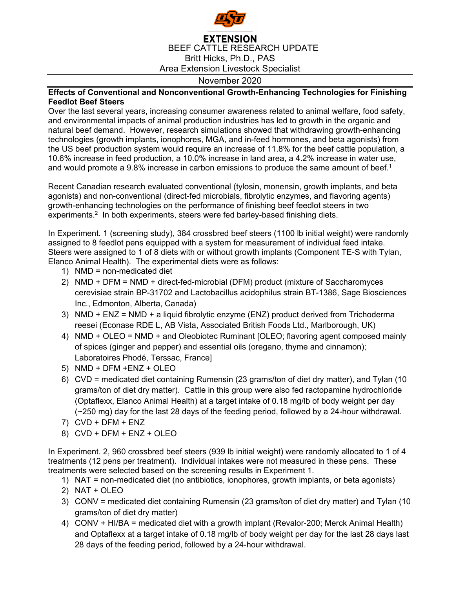

## **EXTENSION** BEEF CATTLE RESEARCH UPDATE Britt Hicks, Ph.D., PAS Area Extension Livestock Specialist

## November 2020

## **Effects of Conventional and Nonconventional Growth-Enhancing Technologies for Finishing Feedlot Beef Steers**

Over the last several years, increasing consumer awareness related to animal welfare, food safety, and environmental impacts of animal production industries has led to growth in the organic and natural beef demand. However, research simulations showed that withdrawing growth-enhancing technologies (growth implants, ionophores, MGA, and in-feed hormones, and beta agonists) from the US beef production system would require an increase of 11.8% for the beef cattle population, a 10.6% increase in feed production, a 10.0% increase in land area, a 4.2% increase in water use, and would promote a 9.8% increase in carbon emissions to produce the same amount of beef.<sup>1</sup>

Recent Canadian research evaluated conventional (tylosin, monensin, growth implants, and beta agonists) and non-conventional (direct-fed microbials, fibrolytic enzymes, and flavoring agents) growth-enhancing technologies on the performance of finishing beef feedlot steers in two experiments.<sup>2</sup> In both experiments, steers were fed barley-based finishing diets.

In Experiment. 1 (screening study), 384 crossbred beef steers (1100 lb initial weight) were randomly assigned to 8 feedlot pens equipped with a system for measurement of individual feed intake. Steers were assigned to 1 of 8 diets with or without growth implants (Component TE-S with Tylan, Elanco Animal Health). The experimental diets were as follows:

- 1) NMD = non-medicated diet
- 2) NMD + DFM = NMD + direct-fed-microbial (DFM) product (mixture of Saccharomyces cerevisiae strain BP-31702 and Lactobacillus acidophilus strain BT-1386, Sage Biosciences Inc., Edmonton, Alberta, Canada)
- 3) NMD + ENZ = NMD + a liquid fibrolytic enzyme (ENZ) product derived from Trichoderma reesei (Econase RDE L, AB Vista, Associated British Foods Ltd., Marlborough, UK)
- 4) NMD + OLEO = NMD + and Oleobiotec Ruminant [OLEO; flavoring agent composed mainly of spices (ginger and pepper) and essential oils (oregano, thyme and cinnamon); Laboratoires Phodé, Terssac, France]
- 5) NMD + DFM +ENZ + OLEO
- 6) CVD = medicated diet containing Rumensin (23 grams/ton of diet dry matter), and Tylan (10 grams/ton of diet dry matter). Cattle in this group were also fed ractopamine hydrochloride (Optaflexx, Elanco Animal Health) at a target intake of 0.18 mg/lb of body weight per day (~250 mg) day for the last 28 days of the feeding period, followed by a 24-hour withdrawal.
- 7) CVD + DFM + ENZ
- 8) CVD + DFM + ENZ + OLEO

In Experiment. 2, 960 crossbred beef steers (939 lb initial weight) were randomly allocated to 1 of 4 treatments (12 pens per treatment). Individual intakes were not measured in these pens. These treatments were selected based on the screening results in Experiment 1.

- 1) NAT = non-medicated diet (no antibiotics, ionophores, growth implants, or beta agonists)
- 2) NAT + OLEO
- 3) CONV = medicated diet containing Rumensin (23 grams/ton of diet dry matter) and Tylan (10 grams/ton of diet dry matter)
- 4) CONV + HI/BA = medicated diet with a growth implant (Revalor-200; Merck Animal Health) and Optaflexx at a target intake of 0.18 mg/lb of body weight per day for the last 28 days last 28 days of the feeding period, followed by a 24-hour withdrawal.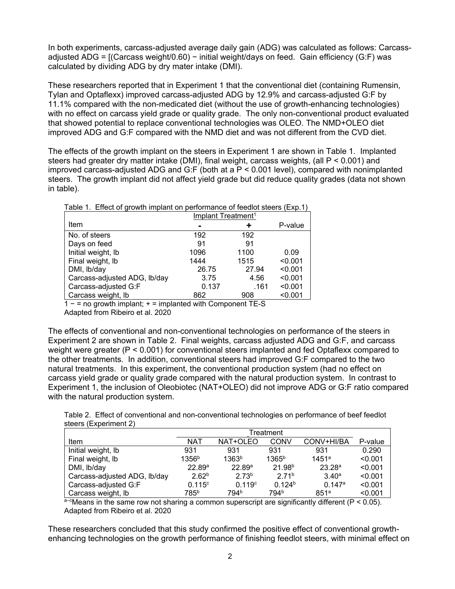In both experiments, carcass-adjusted average daily gain (ADG) was calculated as follows: Carcassadjusted ADG = [(Carcass weight/0.60) − initial weight/days on feed. Gain efficiency (G:F) was calculated by dividing ADG by dry mater intake (DMI).

These researchers reported that in Experiment 1 that the conventional diet (containing Rumensin, Tylan and Optaflexx) improved carcass-adjusted ADG by 12.9% and carcass-adjusted G:F by 11.1% compared with the non-medicated diet (without the use of growth-enhancing technologies) with no effect on carcass yield grade or quality grade. The only non-conventional product evaluated that showed potential to replace conventional technologies was OLEO. The NMD+OLEO diet improved ADG and G:F compared with the NMD diet and was not different from the CVD diet.

The effects of the growth implant on the steers in Experiment 1 are shown in Table 1. Implanted steers had greater dry matter intake (DMI), final weight, carcass weights, (all P < 0.001) and improved carcass-adjusted ADG and G:F (both at a P < 0.001 level), compared with nonimplanted steers. The growth implant did not affect yield grade but did reduce quality grades (data not shown in table).

|  |  | Table 1. Effect of growth implant on performance of feedlot steers (Exp.1) |  |  |  |
|--|--|----------------------------------------------------------------------------|--|--|--|
|  |  |                                                                            |  |  |  |

| Implant Treatment <sup>1</sup> |       |         |  |  |
|--------------------------------|-------|---------|--|--|
|                                |       | P-value |  |  |
| 192                            | 192   |         |  |  |
| 91                             | 91    |         |  |  |
| 1096                           | 1100  | 0.09    |  |  |
| 1444                           | 1515  | < 0.001 |  |  |
| 26.75                          | 27.94 | < 0.001 |  |  |
| 3.75                           | 4.56  | < 0.001 |  |  |
| 0.137                          | .161  | < 0.001 |  |  |
| 862                            | 908   | < 0.001 |  |  |
|                                |       |         |  |  |

1 − = no growth implant; + = implanted with Component TE-S

Adapted from Ribeiro et al. 2020

The effects of conventional and non-conventional technologies on performance of the steers in Experiment 2 are shown in Table 2. Final weights, carcass adjusted ADG and G:F, and carcass weight were greater (P < 0.001) for conventional steers implanted and fed Optaflexx compared to the other treatments. In addition, conventional steers had improved G:F compared to the two natural treatments. In this experiment, the conventional production system (had no effect on carcass yield grade or quality grade compared with the natural production system. In contrast to Experiment 1, the inclusion of Oleobiotec (NAT+OLEO) did not improve ADG or G:F ratio compared with the natural production system.

| Table 2. Effect of conventional and non-conventional technologies on performance of beef feedlot |  |  |  |  |
|--------------------------------------------------------------------------------------------------|--|--|--|--|
| steers (Experiment 2)                                                                            |  |  |  |  |

|                              | Treatment          |                   |                    |                    |         |  |
|------------------------------|--------------------|-------------------|--------------------|--------------------|---------|--|
| Item                         | <b>NAT</b>         | NAT+OLEO          | CONV               | CONV+HI/BA         | P-value |  |
| Initial weight, lb           | 931                | 931               | 931                | 931                | 0.290   |  |
| Final weight, lb             | 1356 <sup>b</sup>  | 1363 <sup>b</sup> | $1365^{b}$         | $1451^a$           | < 0.001 |  |
| DMI, Ib/day                  | 22.89 <sup>a</sup> | 22.89a            | 21.98 <sup>b</sup> | 23.28 <sup>a</sup> | < 0.001 |  |
| Carcass-adjusted ADG, Ib/day | 2.62 <sup>b</sup>  | 2.73 <sup>b</sup> | 271 <sup>b</sup>   | 3.40a              | < 0.001 |  |
| Carcass-adjusted G:F         | $0.115^{\circ}$    | $0.119^{\circ}$   | 0.124 <sup>b</sup> | 0.147a             | < 0.001 |  |
| Carcass weight, Ib           | 785 <sup>b</sup>   | 794b              | 794 <sup>b</sup>   | 851 <sup>a</sup>   | < 0.001 |  |

 $a$ - $a$ Means in the same row not sharing a common superscript are significantly different (P < 0.05). Adapted from Ribeiro et al. 2020

These researchers concluded that this study confirmed the positive effect of conventional growthenhancing technologies on the growth performance of finishing feedlot steers, with minimal effect on